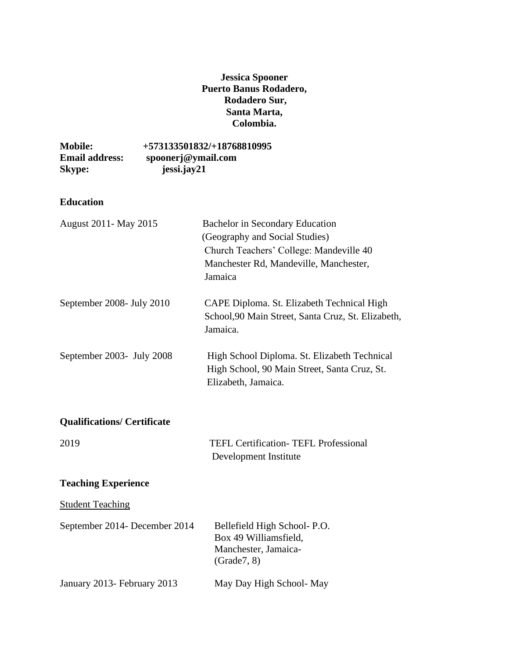## **Jessica Spooner Puerto Banus Rodadero, Rodadero Sur, Santa Marta, Colombia.**

| <b>Mobile:</b>        | +573133501832/+18768810995 |
|-----------------------|----------------------------|
| <b>Email address:</b> | spoonerj@ymail.com         |
| <b>Skype:</b>         | jessi.jay21                |

## **Education**

| August 2011 - May 2015             | <b>Bachelor</b> in Secondary Education<br>(Geography and Social Studies)<br>Church Teachers' College: Mandeville 40<br>Manchester Rd, Mandeville, Manchester,<br>Jamaica |  |
|------------------------------------|--------------------------------------------------------------------------------------------------------------------------------------------------------------------------|--|
| September 2008- July 2010          | CAPE Diploma. St. Elizabeth Technical High<br>School, 90 Main Street, Santa Cruz, St. Elizabeth,<br>Jamaica.                                                             |  |
| September 2003- July 2008          | High School Diploma. St. Elizabeth Technical<br>High School, 90 Main Street, Santa Cruz, St.<br>Elizabeth, Jamaica.                                                      |  |
| <b>Qualifications/ Certificate</b> |                                                                                                                                                                          |  |
| 2019                               | <b>TEFL Certification- TEFL Professional</b><br>Development Institute                                                                                                    |  |
| <b>Teaching Experience</b>         |                                                                                                                                                                          |  |
| <b>Student Teaching</b>            |                                                                                                                                                                          |  |
| September 2014- December 2014      | Bellefield High School- P.O.<br>Box 49 Williamsfield,<br>Manchester, Jamaica-<br>(Grade7, 8)                                                                             |  |
| January 2013- February 2013        | May Day High School-May                                                                                                                                                  |  |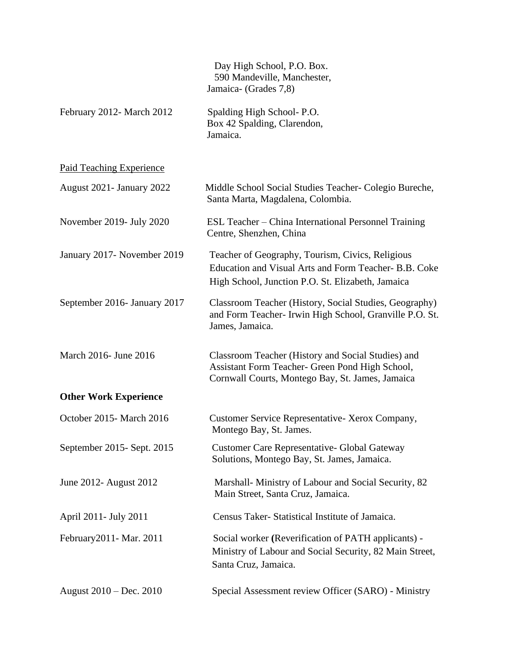|                              | Day High School, P.O. Box.<br>590 Mandeville, Manchester,<br>Jamaica- (Grades 7,8)                                                                             |
|------------------------------|----------------------------------------------------------------------------------------------------------------------------------------------------------------|
| February 2012- March 2012    | Spalding High School-P.O.<br>Box 42 Spalding, Clarendon,<br>Jamaica.                                                                                           |
| Paid Teaching Experience     |                                                                                                                                                                |
| August 2021 - January 2022   | Middle School Social Studies Teacher- Colegio Bureche,<br>Santa Marta, Magdalena, Colombia.                                                                    |
| November 2019- July 2020     | ESL Teacher – China International Personnel Training<br>Centre, Shenzhen, China                                                                                |
| January 2017- November 2019  | Teacher of Geography, Tourism, Civics, Religious<br>Education and Visual Arts and Form Teacher- B.B. Coke<br>High School, Junction P.O. St. Elizabeth, Jamaica |
| September 2016- January 2017 | Classroom Teacher (History, Social Studies, Geography)<br>and Form Teacher- Irwin High School, Granville P.O. St.<br>James, Jamaica.                           |
| March 2016- June 2016        | Classroom Teacher (History and Social Studies) and<br>Assistant Form Teacher- Green Pond High School,<br>Cornwall Courts, Montego Bay, St. James, Jamaica      |
| <b>Other Work Experience</b> |                                                                                                                                                                |
| October 2015-March 2016      | Customer Service Representative- Xerox Company,<br>Montego Bay, St. James.                                                                                     |
| September 2015 - Sept. 2015  | Customer Care Representative- Global Gateway<br>Solutions, Montego Bay, St. James, Jamaica.                                                                    |
| June 2012- August 2012       | Marshall- Ministry of Labour and Social Security, 82<br>Main Street, Santa Cruz, Jamaica.                                                                      |
| April 2011- July 2011        | Census Taker-Statistical Institute of Jamaica.                                                                                                                 |
| February 2011 - Mar. 2011    | Social worker (Reverification of PATH applicants) -<br>Ministry of Labour and Social Security, 82 Main Street,<br>Santa Cruz, Jamaica.                         |
| August 2010 – Dec. 2010      | Special Assessment review Officer (SARO) - Ministry                                                                                                            |